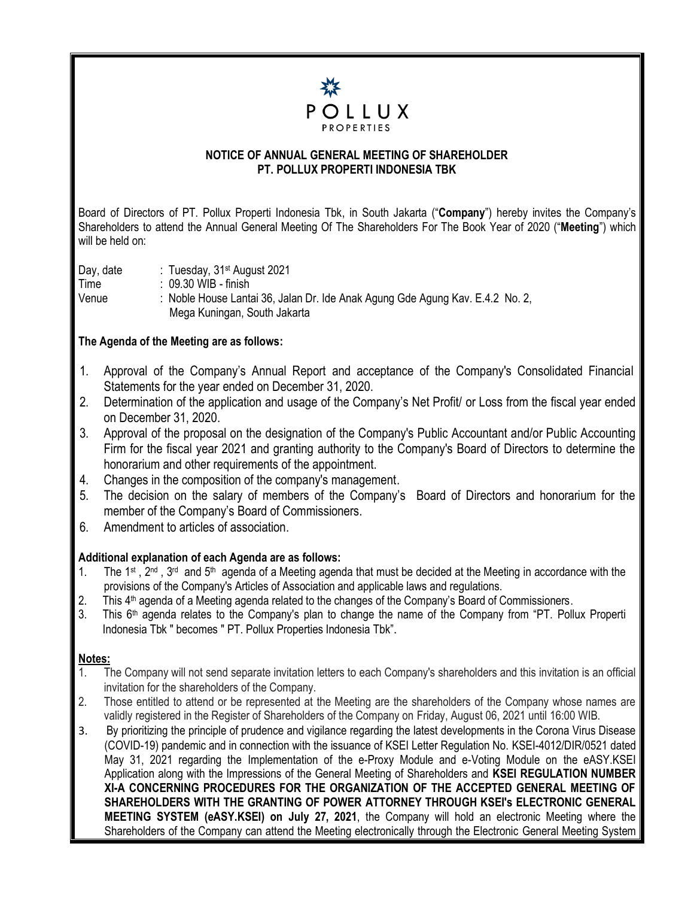

## **NOTICE OF ANNUAL GENERAL MEETING OF SHAREHOLDER PT. POLLUX PROPERTI INDONESIA TBK**

Board of Directors of PT. Pollux Properti Indonesia Tbk, in South Jakarta ("**Company**") hereby invites the Company's Shareholders to attend the Annual General Meeting Of The Shareholders For The Book Year of 2020 ("**Meeting**") which will be held on:

Day, date : Tuesday, 31<sup>st</sup> August 2021 Time : 09.30 WIB - finish Venue : Noble House Lantai 36, Jalan Dr. Ide Anak Agung Gde Agung Kav. E.4.2 No. 2, Mega Kuningan, South Jakarta

## **The Agenda of the Meeting are as follows:**

- 1. Approval of the Company's Annual Report and acceptance of the Company's Consolidated Financial l Statements for the year ended on December 31, 2020.
- 2. Determination of the application and usage of the Company's Net Profit/ or Loss from the fiscal year ended on December 31, 2020.
- 3. Approval of the proposal on the designation of the Company's Public Accountant and/or Public Accounting Firm for the fiscal year 2021 and granting authority to the Company's Board of Directors to determine the honorarium and other requirements of the appointment.
- 4. Changes in the composition of the company's management.
- 5. The decision on the salary of members of the Company's Board of Directors and honorarium for the member of the Company's Board of Commissioners.
- 6. Amendment to articles of association.

## **Additional explanation of each Agenda are as follows:**

- 1. The 1<sup>st</sup>, 2<sup>nd</sup>, 3<sup>rd</sup> and 5<sup>th</sup> agenda of a Meeting agenda that must be decided at the Meeting in accordance with the provisions of the Company's Articles of Association and applicable laws and regulations.
- 2. This 4<sup>th</sup> agenda of a Meeting agenda related to the changes of the Company's Board of Commissioners.
- 3. This  $6<sup>th</sup>$  agenda relates to the Company's plan to change the name of the Company from "PT. Pollux Properti Indonesia Tbk " becomes " PT. Pollux Properties Indonesia Tbk".

## **Notes:**

- 1. The Company will not send separate invitation letters to each Company's shareholders and this invitation is an official invitation for the shareholders of the Company.
- 2. Those entitled to attend or be represented at the Meeting are the shareholders of the Company whose names are validly registered in the Register of Shareholders of the Company on Friday, August 06, 2021 until 16:00 WIB.
- 3. By prioritizing the principle of prudence and vigilance regarding the latest developments in the Corona Virus Disease (COVID-19) pandemic and in connection with the issuance of KSEI Letter Regulation No. KSEI-4012/DIR/0521 dated May 31, 2021 regarding the Implementation of the e-Proxy Module and e-Voting Module on the eASY.KSEI Application along with the Impressions of the General Meeting of Shareholders and **KSEI REGULATION NUMBER XI-A CONCERNING PROCEDURES FOR THE ORGANIZATION OF THE ACCEPTED GENERAL MEETING OF SHAREHOLDERS WITH THE GRANTING OF POWER ATTORNEY THROUGH KSEI's ELECTRONIC GENERAL MEETING SYSTEM (eASY.KSEI) on July 27, 2021**, the Company will hold an electronic Meeting where the Shareholders of the Company can attend the Meeting electronically through the Electronic General Meeting System |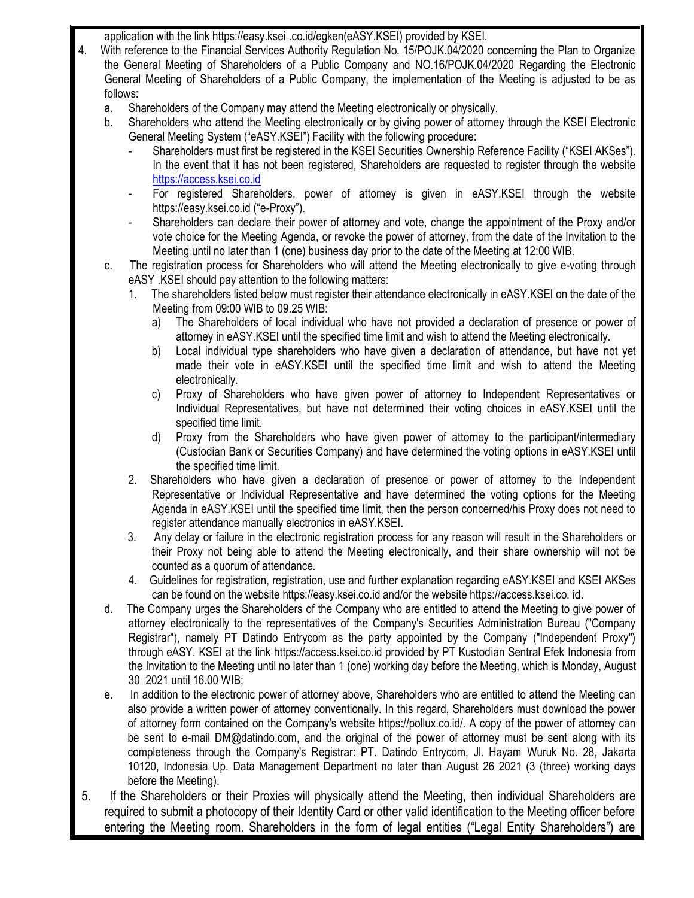application with the link https://easy.ksei .co.id/egken(eASY.KSEI) provided by KSEI.

- 4. With reference to the Financial Services Authority Regulation No. 15/POJK.04/2020 concerning the Plan to Organize the General Meeting of Shareholders of a Public Company and NO.16/POJK.04/2020 Regarding the Electronic General Meeting of Shareholders of a Public Company, the implementation of the Meeting is adjusted to be as follows:
	- a. Shareholders of the Company may attend the Meeting electronically or physically.
	- b. Shareholders who attend the Meeting electronically or by giving power of attorney through the KSEI Electronic General Meeting System ("eASY.KSEI") Facility with the following procedure:
		- Shareholders must first be registered in the KSEI Securities Ownership Reference Facility ("KSEI AKSes"). In the event that it has not been registered, Shareholders are requested to register through the website [https://access.ksei.co.id](https://access.ksei.co.id/)
		- For registered Shareholders, power of attorney is given in eASY.KSEI through the website https://easy.ksei.co.id ("e-Proxy").
		- Shareholders can declare their power of attorney and vote, change the appointment of the Proxy and/or vote choice for the Meeting Agenda, or revoke the power of attorney, from the date of the Invitation to the Meeting until no later than 1 (one) business day prior to the date of the Meeting at 12:00 WIB.
	- c. The registration process for Shareholders who will attend the Meeting electronically to give e-voting through eASY .KSEI should pay attention to the following matters:
		- 1. The shareholders listed below must register their attendance electronically in eASY.KSEI on the date of the Meeting from 09:00 WIB to 09.25 WIB:
			- a) The Shareholders of local individual who have not provided a declaration of presence or power of attorney in eASY.KSEI until the specified time limit and wish to attend the Meeting electronically.
			- b) Local individual type shareholders who have given a declaration of attendance, but have not yet made their vote in eASY.KSEI until the specified time limit and wish to attend the Meeting electronically.
			- c) Proxy of Shareholders who have given power of attorney to Independent Representatives or Individual Representatives, but have not determined their voting choices in eASY.KSEI until the specified time limit.
			- d) Proxy from the Shareholders who have given power of attorney to the participant/intermediary (Custodian Bank or Securities Company) and have determined the voting options in eASY.KSEI until the specified time limit.
		- 2. Shareholders who have given a declaration of presence or power of attorney to the Independent Representative or Individual Representative and have determined the voting options for the Meeting Agenda in eASY.KSEI until the specified time limit, then the person concerned/his Proxy does not need to register attendance manually electronics in eASY.KSEI.
		- 3. Any delay or failure in the electronic registration process for any reason will result in the Shareholders or their Proxy not being able to attend the Meeting electronically, and their share ownership will not be counted as a quorum of attendance.
		- 4. Guidelines for registration, registration, use and further explanation regarding eASY.KSEI and KSEI AKSes can be found on the website https://easy.ksei.co.id and/or the website https://access.ksei.co. id.
	- d. The Company urges the Shareholders of the Company who are entitled to attend the Meeting to give power of attorney electronically to the representatives of the Company's Securities Administration Bureau ("Company Registrar"), namely PT Datindo Entrycom as the party appointed by the Company ("Independent Proxy") through eASY. KSEI at the link https://access.ksei.co.id provided by PT Kustodian Sentral Efek Indonesia from the Invitation to the Meeting until no later than 1 (one) working day before the Meeting, which is Monday, August 30 2021 until 16.00 WIB;
	- e. In addition to the electronic power of attorney above, Shareholders who are entitled to attend the Meeting can also provide a written power of attorney conventionally. In this regard, Shareholders must download the power of attorney form contained on the Company's website https://pollux.co.id/. A copy of the power of attorney can be sent to e-mail DM@datindo.com, and the original of the power of attorney must be sent along with its completeness through the Company's Registrar: PT. Datindo Entrycom, Jl. Hayam Wuruk No. 28, Jakarta 10120, Indonesia Up. Data Management Department no later than August 26 2021 (3 (three) working days before the Meeting).
- 5. If the Shareholders or their Proxies will physically attend the Meeting, then individual Shareholders are required to submit a photocopy of their Identity Card or other valid identification to the Meeting officer before entering the Meeting room. Shareholders in the form of legal entities ("Legal Entity Shareholders") are